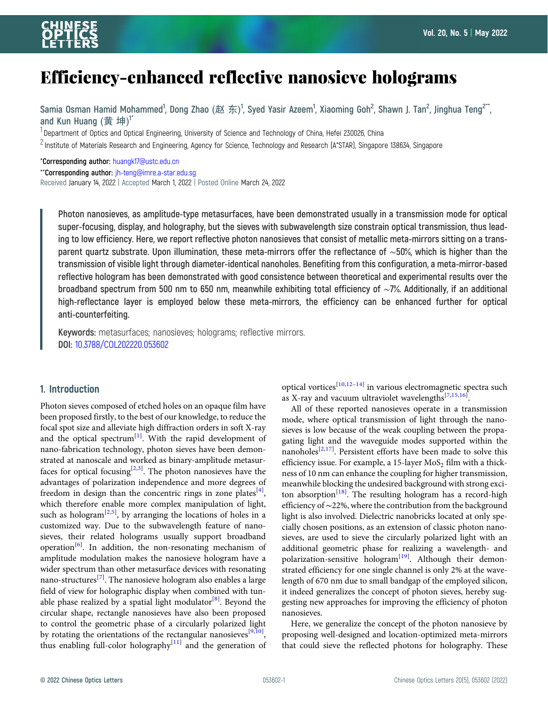# Efficiency-enhanced reflective nanosieve holograms

Samia Osman Hamid Mohammed<sup>1</sup>, Dong Zhao (赵 东)<sup>1</sup>, Syed Yasir Azeem<sup>1</sup>, Xiaoming Goh<sup>2</sup>, Shawn J. Tan<sup>2</sup>, Jinghua Teng<sup>2\*\*</sup>, and Kun Huang (黄坤)<sup>1\*</sup>

<sup>1</sup> Department of Optics and Optical Engineering, University of Science and Technology of China, Hefei 230026, China

 $^2$ Institute of Materials Research and Engineering, Agency for Science, Technology and Research (A\*STAR), Singapore 138634, Singapore

\*Corresponding author: [huangk17@ustc.edu.cn](mailto:huangk17@ustc.edu.cn)

\*\*Corresponding author: [jh-teng@imre.a-star.edu.sg](mailto:jh-teng@imre.a-star.edu.sg)

Received January 14, 2022 | Accepted March 1, 2022 | Posted Online March 24, 2022

Photon nanosieves, as amplitude-type metasurfaces, have been demonstrated usually in a transmission mode for optical super-focusing, display, and holography, but the sieves with subwavelength size constrain optical transmission, thus leading to low efficiency. Here, we report reflective photon nanosieves that consist of metallic meta-mirrors sitting on a transparent quartz substrate. Upon illumination, these meta-mirrors offer the reflectance of ∼50%, which is higher than the transmission of visible light through diameter-identical nanoholes. Benefiting from this configuration, a meta-mirror-based reflective hologram has been demonstrated with good consistence between theoretical and experimental results over the broadband spectrum from 500 nm to 650 nm, meanwhile exhibiting total efficiency of ∼7%. Additionally, if an additional high-reflectance layer is employed below these meta-mirrors, the efficiency can be enhanced further for optical anti-counterfeiting.

Keywords: metasurfaces; nanosieves; holograms; reflective mirrors. DOI: [10.3788/COL202220.053602](https://doi.org/10.3788/COL202220.053602)

## 1. Introduction

Photon sieves composed of etched holes on an opaque film have been proposed firstly, to the best of our knowledge, to reduce the focal spot size and alleviate high diffraction orders in soft X-ray and the optical spectrum<sup>[[1](#page-3-0)]</sup>. With the rapid development of nano-fabrication technology, photon sieves have been demonstrated at nanoscale and worked as binary-amplitude metasur-faces for optical focusing<sup>[[2](#page-3-0),[3](#page-3-0)]</sup>. The photon nanosieves have the advantages of polarization independence and more degrees of freedom in design than the concentric rings in zone plates<sup>[[4](#page-3-0)]</sup>, which therefore enable more complex manipulation of light, such as hologram<sup>[\[2,5](#page-3-0)]</sup>, by arranging the locations of holes in a customized way. Due to the subwavelength feature of nanosieves, their related holograms usually support broadband operation<sup>[\[6\]](#page-3-0)</sup>. In addition, the non-resonating mechanism of amplitude modulation makes the nanosieve hologram have a wider spectrum than other metasurface devices with resonating nano-structures<sup>[[7](#page-3-0)]</sup>. The nanosieve hologram also enables a large field of view for holographic display when combined with tun-able phase realized by a spatial light modulator<sup>[[8](#page-3-0)]</sup>. Beyond the circular shape, rectangle nanosieves have also been proposed to control the geometric phase of a circularly polarized light by rotating the orientations of the rectangular nanosieves<sup>[[9,10](#page-3-0)]</sup>, thus enabling full-color holography $\left[11\right]$  and the generation of

optical vortices<sup>[\[10](#page-3-0),[12](#page-3-0)–[14](#page-3-0)]</sup> in various electromagnetic spectra such as X-ray and vacuum ultraviolet wavelengths<sup>[\[7,15](#page-3-0)[,16\]](#page-4-0)</sup>.

All of these reported nanosieves operate in a transmission mode, where optical transmission of light through the nanosieves is low because of the weak coupling between the propagating light and the waveguide modes supported within the nanoholes<sup>[[2](#page-3-0),[17](#page-4-0)]</sup>. Persistent efforts have been made to solve this efficiency issue. For example, a 15-layer  $MoS<sub>2</sub>$  film with a thickness of 10 nm can enhance the coupling for higher transmission, meanwhile blocking the undesired background with strong exci-ton absorption<sup>[[18](#page-4-0)]</sup>. The resulting hologram has a record-high efficiency of ∼22%, where the contribution from the background light is also involved. Dielectric nanobricks located at only specially chosen positions, as an extension of classic photon nanosieves, are used to sieve the circularly polarized light with an additional geometric phase for realizing a wavelength- and polarization-sensitive hologram<sup>[\[19](#page-4-0)]</sup>. Although their demonstrated efficiency for one single channel is only 2% at the wavelength of 670 nm due to small bandgap of the employed silicon, it indeed generalizes the concept of photon sieves, hereby suggesting new approaches for improving the efficiency of photon nanosieves.

Here, we generalize the concept of the photon nanosieve by proposing well-designed and location-optimized meta-mirrors that could sieve the reflected photons for holography. These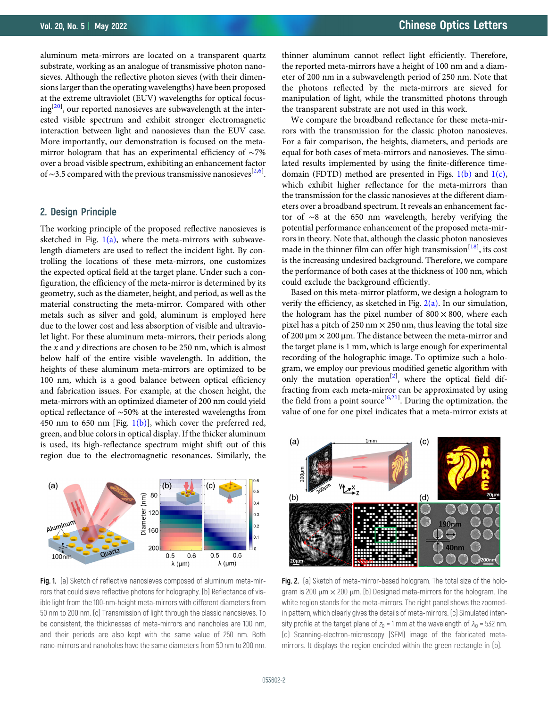<span id="page-1-0"></span>aluminum meta-mirrors are located on a transparent quartz substrate, working as an analogue of transmissive photon nanosieves. Although the reflective photon sieves (with their dimensions larger than the operating wavelengths) have been proposed at the extreme ultraviolet (EUV) wavelengths for optical focus-ing<sup>[\[20](#page-4-0)]</sup>, our reported nanosieves are subwavelength at the interested visible spectrum and exhibit stronger electromagnetic interaction between light and nanosieves than the EUV case. More importantly, our demonstration is focused on the metamirror hologram that has an experimental efficiency of ∼7% over a broad visible spectrum, exhibiting an enhancement factor of ~3.5 compared with the previous transmissive nanosieves<sup>[[2](#page-3-0),[6](#page-3-0)]</sup>.

## 2. Design Principle

The working principle of the proposed reflective nanosieves is sketched in Fig.  $1(a)$ , where the meta-mirrors with subwavelength diameters are used to reflect the incident light. By controlling the locations of these meta-mirrors, one customizes the expected optical field at the target plane. Under such a configuration, the efficiency of the meta-mirror is determined by its geometry, such as the diameter, height, and period, as well as the material constructing the meta-mirror. Compared with other metals such as silver and gold, aluminum is employed here due to the lower cost and less absorption of visible and ultraviolet light. For these aluminum meta-mirrors, their periods along the  $x$  and  $y$  directions are chosen to be 250 nm, which is almost below half of the entire visible wavelength. In addition, the heights of these aluminum meta-mirrors are optimized to be 100 nm, which is a good balance between optical efficiency and fabrication issues. For example, at the chosen height, the meta-mirrors with an optimized diameter of 200 nm could yield optical reflectance of ∼50% at the interested wavelengths from 450 nm to 650 nm [Fig.  $1(b)$ ], which cover the preferred red, green, and blue colors in optical display. If the thicker aluminum is used, its high-reflectance spectrum might shift out of this region due to the electromagnetic resonances. Similarly, the



Fig. 1. (a) Sketch of reflective nanosieves composed of aluminum meta-mirrors that could sieve reflective photons for holography. (b) Reflectance of visible light from the 100-nm-height meta-mirrors with different diameters from 50 nm to 200 nm. (c) Transmission of light through the classic nanosieves. To be consistent, the thicknesses of meta-mirrors and nanoholes are 100 nm, and their periods are also kept with the same value of 250 nm. Both nano-mirrors and nanoholes have the same diameters from 50 nm to 200 nm.

thinner aluminum cannot reflect light efficiently. Therefore, the reported meta-mirrors have a height of 100 nm and a diameter of 200 nm in a subwavelength period of 250 nm. Note that the photons reflected by the meta-mirrors are sieved for manipulation of light, while the transmitted photons through the transparent substrate are not used in this work.

We compare the broadband reflectance for these meta-mirrors with the transmission for the classic photon nanosieves. For a fair comparison, the heights, diameters, and periods are equal for both cases of meta-mirrors and nanosieves. The simulated results implemented by using the finite-difference timedomain (FDTD) method are presented in Figs.  $1(b)$  and  $1(c)$ , which exhibit higher reflectance for the meta-mirrors than the transmission for the classic nanosieves at the different diameters over a broadband spectrum. It reveals an enhancement factor of ∼8 at the 650 nm wavelength, hereby verifying the potential performance enhancement of the proposed meta-mirrors in theory. Note that, although the classic photon nanosieves made in the thinner film can offer high transmission<sup>[[18\]](#page-4-0)</sup>, its cost is the increasing undesired background. Therefore, we compare the performance of both cases at the thickness of 100 nm, which could exclude the background efficiently.

Based on this meta-mirror platform, we design a hologram to verify the efficiency, as sketched in Fig.  $2(a)$ . In our simulation, the hologram has the pixel number of  $800 \times 800$ , where each pixel has a pitch of 250 nm  $\times$  250 nm, thus leaving the total size of 200 μm × 200 μm. The distance between the meta-mirror and the target plane is 1 mm, which is large enough for experimental recording of the holographic image. To optimize such a hologram, we employ our previous modified genetic algorithm with only the mutation operation<sup>[\[2\]](#page-3-0)</sup>, where the optical field diffracting from each meta-mirror can be approximated by using the field from a point source<sup>[\[6](#page-3-0)[,21\]](#page-4-0)</sup>. During the optimization, the value of one for one pixel indicates that a meta-mirror exists at



Fig. 2. (a) Sketch of meta-mirror-based hologram. The total size of the hologram is 200  $\mu$ m  $\times$  200  $\mu$ m. (b) Designed meta-mirrors for the hologram. The white region stands for the meta-mirrors. The right panel shows the zoomedin pattern, which clearly gives the details of meta-mirrors. (c) Simulated intensity profile at the target plane of  $z_0 = 1$  mm at the wavelength of  $\lambda_0 = 532$  nm. (d) Scanning-electron-microscopy (SEM) image of the fabricated metamirrors. It displays the region encircled within the green rectangle in (b).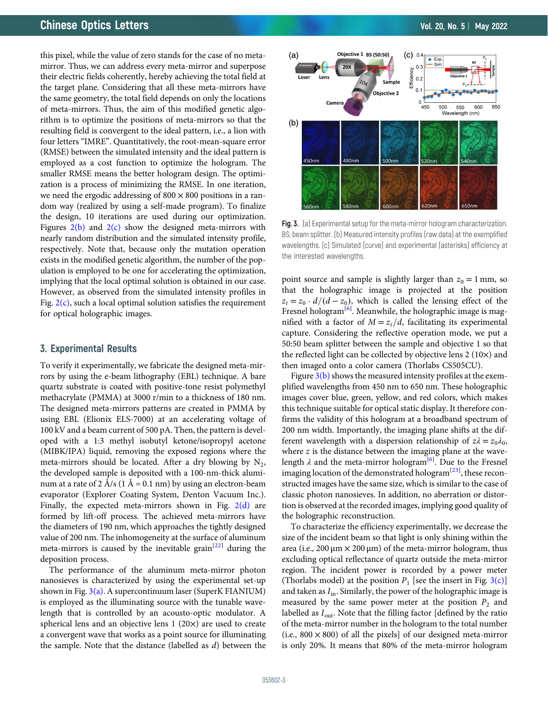<span id="page-2-0"></span>this pixel, while the value of zero stands for the case of no metamirror. Thus, we can address every meta-mirror and superpose their electric fields coherently, hereby achieving the total field at the target plane. Considering that all these meta-mirrors have the same geometry, the total field depends on only the locations of meta-mirrors. Thus, the aim of this modified genetic algorithm is to optimize the positions of meta-mirrors so that the resulting field is convergent to the ideal pattern, i.e., a lion with four letters "IMRE". Quantitatively, the root-mean-square error (RMSE) between the simulated intensity and the ideal pattern is employed as a cost function to optimize the hologram. The smaller RMSE means the better hologram design. The optimization is a process of minimizing the RMSE. In one iteration, we need the ergodic addressing of  $800 \times 800$  positions in a random way (realized by using a self-made program). To finalize the design, 10 iterations are used during our optimization. Figures  $2(b)$  and  $2(c)$  show the designed meta-mirrors with nearly random distribution and the simulated intensity profile, respectively. Note that, because only the mutation operation exists in the modified genetic algorithm, the number of the population is employed to be one for accelerating the optimization, implying that the local optimal solution is obtained in our case. However, as observed from the simulated intensity profiles in Fig.  $2(c)$ , such a local optimal solution satisfies the requirement for optical holographic images.

# 3. Experimental Results

To verify it experimentally, we fabricate the designed meta-mirrors by using the e-beam lithography (EBL) technique. A bare quartz substrate is coated with positive-tone resist polymethyl methacrylate (PMMA) at 3000 r/min to a thickness of 180 nm. The designed meta-mirrors patterns are created in PMMA by using EBL (Elionix ELS-7000) at an accelerating voltage of 100 kV and a beam current of 500 pA. Then, the pattern is developed with a 1:3 methyl isobutyl ketone/isopropyl acetone (MIBK/IPA) liquid, removing the exposed regions where the meta-mirrors should be located. After a dry blowing by  $N_2$ , the developed sample is deposited with a 100-nm-thick aluminum at a rate of 2 Å/s (1 Å = 0.1 nm) by using an electron-beam evaporator (Explorer Coating System, Denton Vacuum Inc.). Finally, the expected meta-mirrors shown in Fig.  $2(d)$  are formed by lift-off process. The achieved meta-mirrors have the diameters of 190 nm, which approaches the tightly designed value of 200 nm. The inhomogeneity at the surface of aluminum meta-mirrors is caused by the inevitable grain<sup>[[22](#page-4-0)]</sup> during the deposition process.

The performance of the aluminum meta-mirror photon nanosieves is characterized by using the experimental set-up shown in Fig.  $3(a)$ . A supercontinuum laser (SuperK FIANIUM) is employed as the illuminating source with the tunable wavelength that is controlled by an acousto-optic modulator. A spherical lens and an objective lens 1 (20×) are used to create a convergent wave that works as a point source for illuminating the sample. Note that the distance (labelled as d) between the



Fig. 3. (a) Experimental setup for the meta-mirror hologram characterization. BS: beam splitter. (b) Measured intensity profiles (raw data) at the exemplified wavelengths. (c) Simulated (curve) and experimental (asterisks) efficiency at the interested wavelengths.

point source and sample is slightly larger than  $z_0 = 1$  mm, so that the holographic image is projected at the position  $z_t = z_0 \cdot d/(d - z_0)$ , which is called the lensing effect of the Fresnel hologram<sup>[\[6](#page-3-0)]</sup>. Meanwhile, the holographic image is magnified with a factor of  $M = z_t/d$ , facilitating its experimental capture. Considering the reflective operation mode, we put a 50:50 beam splitter between the sample and objective 1 so that the reflected light can be collected by objective lens 2 (10×) and then imaged onto a color camera (Thorlabs CS505CU).

Figure  $3(b)$  shows the measured intensity profiles at the exemplified wavelengths from 450 nm to 650 nm. These holographic images cover blue, green, yellow, and red colors, which makes this technique suitable for optical static display. It therefore confirms the validity of this hologram at a broadband spectrum of 200 nm width. Importantly, the imaging plane shifts at the different wavelength with a dispersion relationship of  $z\lambda = z_0\lambda_0$ , where  $z$  is the distance between the imaging plane at the wavelength  $\lambda$  and the meta-mirror hologram<sup>[[6](#page-3-0)]</sup>. Due to the Fresnel imaging location of the demonstrated hologram<sup>[\[23\]](#page-4-0)</sup>, these reconstructed images have the same size, which is similar to the case of classic photon nanosieves. In addition, no aberration or distortion is observed at the recorded images, implying good quality of the holographic reconstruction.

To characterize the efficiency experimentally, we decrease the size of the incident beam so that light is only shining within the area (i.e., 200  $\mu$ m  $\times$  200  $\mu$ m) of the meta-mirror hologram, thus excluding optical reflectance of quartz outside the meta-mirror region. The incident power is recorded by a power meter (Thorlabs model) at the position  $P_1$  [see the insert in Fig. 3(c)] and taken as  $I_{\text{in}}$ . Similarly, the power of the holographic image is measured by the same power meter at the position  $P_2$  and labelled as  $I_{\text{out}}$ . Note that the filling factor [defined by the ratio of the meta-mirror number in the hologram to the total number (i.e.,  $800 \times 800$ ) of all the pixels] of our designed meta-mirror is only 20%. It means that 80% of the meta-mirror hologram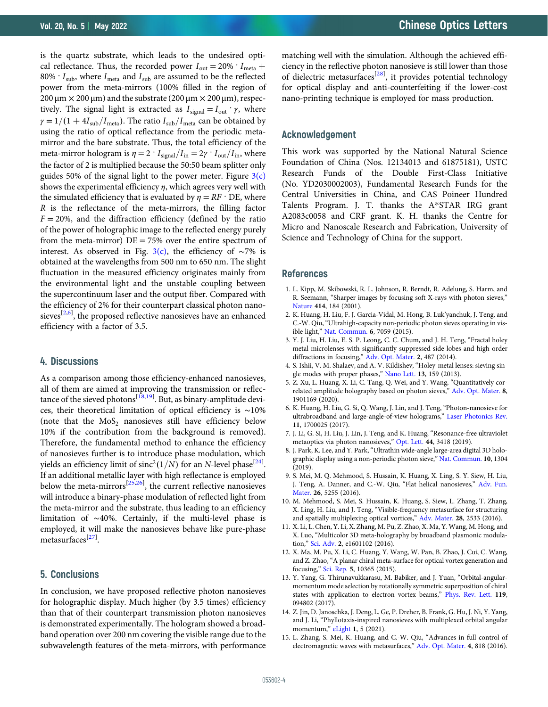<span id="page-3-0"></span>is the quartz substrate, which leads to the undesired optical reflectance. Thus, the recorded power  $I_{\text{out}} = 20\% \cdot I_{\text{meta}} +$ 80%  $\cdot$  I<sub>sub</sub>, where I<sub>meta</sub> and I<sub>sub</sub> are assumed to be the reflected power from the meta-mirrors (100% filled in the region of  $200 \,\mu m \times 200 \,\mu m$ ) and the substrate (200  $\mu m \times 200 \,\mu m$ ), respectively. The signal light is extracted as  $I_{signal} = I_{out} \cdot \gamma$ , where  $\gamma = 1/(1+4I_{sub}/I_{meta})$ . The ratio  $I_{sub}/I_{meta}$  can be obtained by using the ratio of optical reflectance from the periodic metamirror and the bare substrate. Thus, the total efficiency of the meta-mirror hologram is  $\eta = 2 \cdot I_{\text{signal}}/I_{\text{in}} = 2\gamma \cdot I_{\text{out}}/I_{\text{in}}$ , where the factor of 2 is multiplied because the 50:50 beam splitter only guides 50% of the signal light to the power meter. Figure  $3(c)$ shows the experimental efficiency  $\eta$ , which agrees very well with the simulated efficiency that is evaluated by  $\eta = RF$  · DE, where R is the reflectance of the meta-mirrors, the filling factor  $F = 20\%$ , and the diffraction efficiency (defined by the ratio of the power of holographic image to the reflected energy purely from the meta-mirror)  $DE = 75%$  over the entire spectrum of interest. As observed in Fig. [3\(c\)](#page-2-0), the efficiency of  $\sim$ 7% is obtained at the wavelengths from 500 nm to 650 nm. The slight fluctuation in the measured efficiency originates mainly from the environmental light and the unstable coupling between the supercontinuum laser and the output fiber. Compared with the efficiency of 2% for their counterpart classical photon nanosieves<sup>[2,6]</sup>, the proposed reflective nanosieves have an enhanced efficiency with a factor of 3.5.

#### 4. Discussions

As a comparison among those efficiency-enhanced nanosieves, all of them are aimed at improving the transmission or reflec-tance of the sieved photons<sup>[\[18,19](#page-4-0)]</sup>. But, as binary-amplitude devices, their theoretical limitation of optical efficiency is ∼10% (note that the  $MoS<sub>2</sub>$  nanosieves still have efficiency below 10% if the contribution from the background is removed). Therefore, the fundamental method to enhance the efficiency of nanosieves further is to introduce phase modulation, which yields an efficiency limit of  $\text{sinc}^2(1/N)$  for an N-level phase<sup>[\[24](#page-4-0)]</sup>. If an additional metallic layer with high reflectance is employed below the meta-mirrors<sup>[\[25,26](#page-4-0)]</sup>, the current reflective nanosieves will introduce a binary-phase modulation of reflected light from the meta-mirror and the substrate, thus leading to an efficiency limitation of ∼40%. Certainly, if the multi-level phase is employed, it will make the nanosieves behave like pure-phase metasurfaces<sup>[\[27](#page-4-0)]</sup>.

#### 5. Conclusions

In conclusion, we have proposed reflective photon nanosieves for holographic display. Much higher (by 3.5 times) efficiency than that of their counterpart transmission photon nanosieves is demonstrated experimentally. The hologram showed a broadband operation over 200 nm covering the visible range due to the subwavelength features of the meta-mirrors, with performance

matching well with the simulation. Although the achieved efficiency in the reflective photon nanosieve is still lower than those of dielectric metasurfaces<sup>[\[28](#page-4-0)]</sup>, it provides potential technology for optical display and anti-counterfeiting if the lower-cost nano-printing technique is employed for mass production.

#### Acknowledgement

This work was supported by the National Natural Science Foundation of China (Nos. 12134013 and 61875181), USTC Research Funds of the Double First-Class Initiative (No. YD2030002003), Fundamental Research Funds for the Central Universities in China, and CAS Poineer Hundred Talents Program. J. T. thanks the A\*STAR IRG grant A2083c0058 and CRF grant. K. H. thanks the Centre for Micro and Nanoscale Research and Fabrication, University of Science and Technology of China for the support.

#### References

- 1. L. Kipp, M. Skibowski, R. L. Johnson, R. Berndt, R. Adelung, S. Harm, and R. Seemann, "Sharper images by focusing soft X-rays with photon sieves," [Nature](https://doi.org/10.1038/35102526) 414, 184 (2001).
- 2. K. Huang, H. Liu, F. J. Garcia-Vidal, M. Hong, B. Luk'yanchuk, J. Teng, and C.-W. Qiu, "Ultrahigh-capacity non-periodic photon sieves operating in visible light," [Nat. Commun.](https://doi.org/10.1038/ncomms8059) 6, 7059 (2015).
- 3. Y. J. Liu, H. Liu, E. S. P. Leong, C. C. Chum, and J. H. Teng, "Fractal holey metal microlenses with significantly suppressed side lobes and high-order diffractions in focusing," [Adv. Opt. Mater.](https://doi.org/10.1002/adom.201300447) 2, 487 (2014).
- 4. S. Ishii, V. M. Shalaev, and A. V. Kildishev, "Holey-metal lenses: sieving single modes with proper phases," [Nano Lett.](https://doi.org/10.1021/nl303841n) 13, 159 (2013).
- 5. Z. Xu, L. Huang, X. Li, C. Tang, Q. Wei, and Y. Wang, "Quantitatively correlated amplitude holography based on photon sieves," [Adv. Opt. Mater.](https://doi.org/10.1002/adom.201901169) 8, 1901169 (2020).
- 6. K. Huang, H. Liu, G. Si, Q. Wang, J. Lin, and J. Teng, "Photon-nanosieve for ultrabroadband and large-angle-of-view holograms," [Laser Photonics Rev.](https://doi.org/10.1002/lpor.201700025) 11, 1700025 (2017).
- 7. J. Li, G. Si, H. Liu, J. Lin, J. Teng, and K. Huang, "Resonance-free ultraviolet metaoptics via photon nanosieves," [Opt. Lett.](https://doi.org/10.1364/OL.44.003418) 44, 3418 (2019).
- 8. J. Park, K. Lee, and Y. Park,"Ultrathin wide-angle large-area digital 3D holographic display using a non-periodic photon sieve," [Nat. Commun.](https://doi.org/10.1038/s41467-019-09126-9) 10, 1304 (2019).
- 9. S. Mei, M. Q. Mehmood, S. Hussain, K. Huang, X. Ling, S. Y. Siew, H. Liu, J. Teng, A. Danner, and C.-W. Qiu, "Flat helical nanosieves," [Adv. Fun.](https://doi.org/10.1002/adfm.201601345) [Mater.](https://doi.org/10.1002/adfm.201601345) 26, 5255 (2016).
- 10. M. Mehmood, S. Mei, S. Hussain, K. Huang, S. Siew, L. Zhang, T. Zhang, X. Ling, H. Liu, and J. Teng, "Visible-frequency metasurface for structuring and spatially multiplexing optical vortices," [Adv. Mater.](https://doi.org/10.1002/adma.201504532) 28, 2533 (2016).
- 11. X. Li, L. Chen, Y. Li, X. Zhang, M. Pu, Z. Zhao, X. Ma, Y. Wang, M. Hong, and X. Luo, "Multicolor 3D meta-holography by broadband plasmonic modulation," [Sci. Adv.](https://doi.org/10.1126/sciadv.1601102) 2, e1601102 (2016).
- 12. X. Ma, M. Pu, X. Li, C. Huang, Y. Wang, W. Pan, B. Zhao, J. Cui, C. Wang, and Z. Zhao, "A planar chiral meta-surface for optical vortex generation and focusing," [Sci. Rep.](https://doi.org/10.1038/srep10365) 5, 10365 (2015).
- 13. Y. Yang, G. Thirunavukkarasu, M. Babiker, and J. Yuan, "Orbital-angularmomentum mode selection by rotationally symmetric superposition of chiral states with application to electron vortex beams," [Phys. Rev. Lett.](https://doi.org/10.1103/PhysRevLett.119.094802) 119, 094802 (2017).
- 14. Z. Jin, D. Janoschka, J. Deng, L. Ge, P. Dreher, B. Frank, G. Hu, J. Ni, Y. Yang, and J. Li, "Phyllotaxis-inspired nanosieves with multiplexed orbital angular momentum," [eLight](https://doi.org/10.1186/s43593-021-00005-9) 1, 5 (2021).
- 15. L. Zhang, S. Mei, K. Huang, and C.-W. Qiu, "Advances in full control of electromagnetic waves with metasurfaces," [Adv. Opt. Mater.](https://doi.org/10.1002/adom.201500690) 4, 818 (2016).